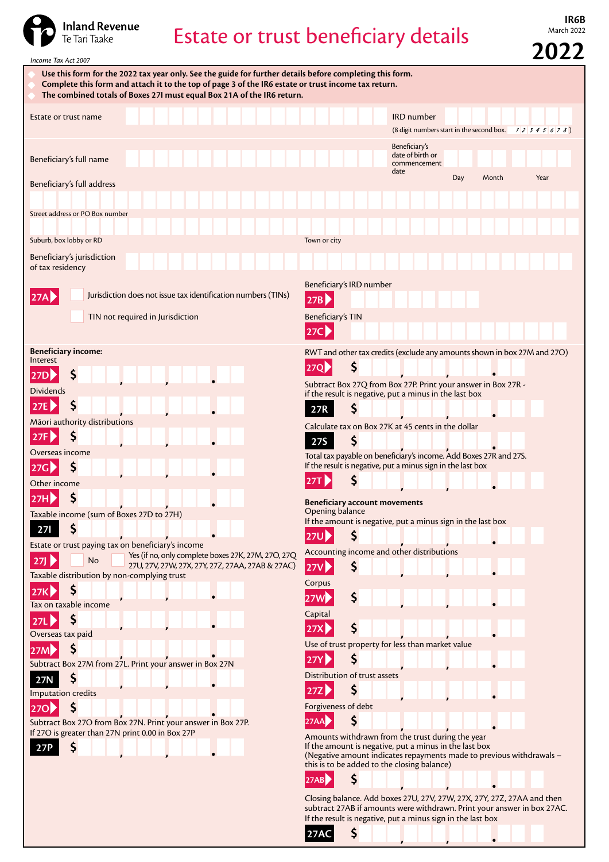

## Estate or trust beneficiary details

**IR6B**<br>March 2022

**2022**

| Use this form for the 2022 tax year only. See the guide for further details before completing this form. |                                                                                                                         |
|----------------------------------------------------------------------------------------------------------|-------------------------------------------------------------------------------------------------------------------------|
| Complete this form and attach it to the top of page 3 of the IR6 estate or trust income tax return.      |                                                                                                                         |
| The combined totals of Boxes 27I must equal Box 21A of the IR6 return.                                   |                                                                                                                         |
|                                                                                                          |                                                                                                                         |
| Estate or trust name                                                                                     | <b>IRD</b> number                                                                                                       |
|                                                                                                          | (8 digit numbers start in the second box. $12345678$ )                                                                  |
|                                                                                                          |                                                                                                                         |
|                                                                                                          | Beneficiary's<br>date of birth or                                                                                       |
| Beneficiary's full name                                                                                  | commencement                                                                                                            |
|                                                                                                          | date                                                                                                                    |
| Beneficiary's full address                                                                               | Day<br>Month<br>Year                                                                                                    |
|                                                                                                          |                                                                                                                         |
|                                                                                                          |                                                                                                                         |
| Street address or PO Box number                                                                          |                                                                                                                         |
|                                                                                                          |                                                                                                                         |
| Suburb, box lobby or RD                                                                                  | Town or city                                                                                                            |
| Beneficiary's jurisdiction                                                                               |                                                                                                                         |
| of tax residency                                                                                         |                                                                                                                         |
|                                                                                                          |                                                                                                                         |
|                                                                                                          | Beneficiary's IRD number                                                                                                |
| Jurisdiction does not issue tax identification numbers (TINs)<br>27A                                     | 27B                                                                                                                     |
|                                                                                                          |                                                                                                                         |
| TIN not required in Jurisdiction                                                                         | Beneficiary's TIN                                                                                                       |
|                                                                                                          | 27C                                                                                                                     |
|                                                                                                          |                                                                                                                         |
| <b>Beneficiary income:</b><br>Interest                                                                   | RWT and other tax credits (exclude any amounts shown in box 27M and 27O)                                                |
|                                                                                                          | $\varsigma$<br>27Q <b>&gt;</b>                                                                                          |
| \$<br>27D                                                                                                |                                                                                                                         |
| <b>Dividends</b>                                                                                         | Subtract Box 27Q from Box 27P. Print your answer in Box 27R -<br>if the result is negative, put a minus in the last box |
| \$                                                                                                       |                                                                                                                         |
| 27E $\triangleright$                                                                                     | Ş<br>27R                                                                                                                |
| Māori authority distributions                                                                            | Calculate tax on Box 27K at 45 cents in the dollar                                                                      |
| Ş<br>27F                                                                                                 | \$                                                                                                                      |
|                                                                                                          | <b>27S</b>                                                                                                              |
| Overseas income                                                                                          | Total tax payable on beneficiary's income. Add Boxes 27R and 27S.                                                       |
| \$<br>27G                                                                                                | If the result is negative, put a minus sign in the last box                                                             |
| Other income                                                                                             | Ş<br>27T $\blacktriangleright$                                                                                          |
| \$                                                                                                       |                                                                                                                         |
| 27H                                                                                                      | Beneficiary account movements                                                                                           |
| Taxable income (sum of Boxes 27D to 27H)                                                                 | Opening balance<br>If the amount is negative, put a minus sign in the last box                                          |
| \$<br><b>271</b>                                                                                         |                                                                                                                         |
|                                                                                                          | $\mathsf{S}$<br>27U <b>2</b>                                                                                            |
| Estate or trust paying tax on beneficiary's income<br>Yes (if no, only complete boxes 27K, 27M, 27O, 27Q | Accounting income and other distributions                                                                               |
| <b>No</b><br>27J<br>27U, 27V, 27W, 27X, 27Y, 27Z, 27AA, 27AB & 27AC)                                     | \$<br><b>27V</b>                                                                                                        |
| Taxable distribution by non-complying trust                                                              |                                                                                                                         |
| $\zeta$                                                                                                  | Corpus                                                                                                                  |
| 27K                                                                                                      | \$<br>27W <b>D</b>                                                                                                      |
| Tax on taxable income                                                                                    |                                                                                                                         |
| \$<br>27L                                                                                                | Capital                                                                                                                 |
| Overseas tax paid                                                                                        | \$<br>27X                                                                                                               |
|                                                                                                          | Use of trust property for less than market value                                                                        |
| $\mathsf{S}$<br>27M                                                                                      |                                                                                                                         |
| Subtract Box 27M from 27L. Print your answer in Box 27N                                                  | Ş<br>27Y                                                                                                                |
| \$<br>27N                                                                                                | Distribution of trust assets                                                                                            |
| Imputation credits                                                                                       | \$<br>27Z                                                                                                               |
|                                                                                                          |                                                                                                                         |
| $\zeta$<br>270 <sub>2</sub>                                                                              | Forgiveness of debt                                                                                                     |
| Subtract Box 27O from Box 27N. Print your answer in Box 27P.                                             | \$<br>27AA                                                                                                              |
| If 27O is greater than 27N print 0.00 in Box 27P                                                         | Amounts withdrawn from the trust during the year                                                                        |
| S<br>27P                                                                                                 | If the amount is negative, put a minus in the last box                                                                  |
|                                                                                                          | (Negative amount indicates repayments made to previous withdrawals -                                                    |
|                                                                                                          |                                                                                                                         |
|                                                                                                          | this is to be added to the closing balance)                                                                             |
|                                                                                                          | \$<br>27AB                                                                                                              |

If the result is negative, put a minus sign in the last box **27AC 5 1 1 1 1 1**